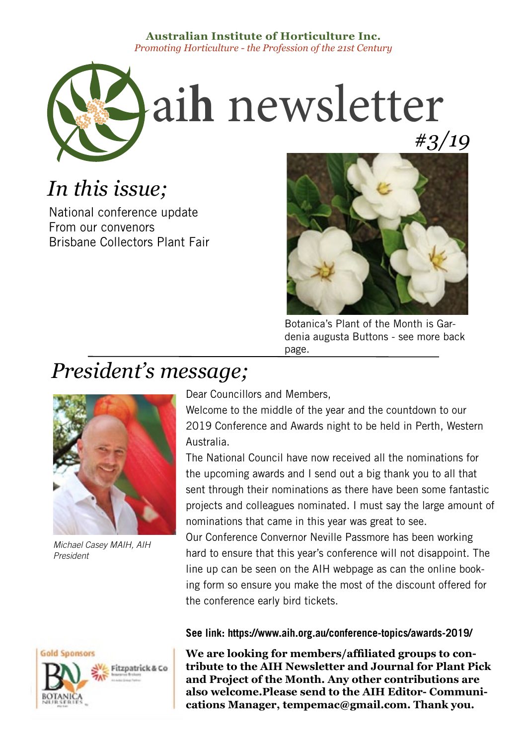## **Australian Institute of Horticulture Inc.** *Promoting Horticulture - the Profession of the 21st Century*



# *In this issue;*

National conference update From our convenors Brisbane Collectors Plant Fair



Botanica's Plant of the Month is Gardenia augusta Buttons - see more back page.

# *President's message;*



*Michael Casey MAIH, AIH President*



Dear Councillors and Members,

Welcome to the middle of the year and the countdown to our 2019 Conference and Awards night to be held in Perth, Western Australia.

The National Council have now received all the nominations for the upcoming awards and I send out a big thank you to all that sent through their nominations as there have been some fantastic projects and colleagues nominated. I must say the large amount of nominations that came in this year was great to see.

Our Conference Convernor Neville Passmore has been working hard to ensure that this year's conference will not disappoint. The line up can be seen on the AIH webpage as can the online booking form so ensure you make the most of the discount offered for the conference early bird tickets.

## **See link: https://www.aih.org.au/conference-topics/awards-2019/**

**We are looking for members/affiliated groups to contribute to the AIH Newsletter and Journal for Plant Pick and Project of the Month. Any other contributions are also welcome.Please send to the AIH Editor- Communications Manager, tempemac@gmail.com. Thank you.**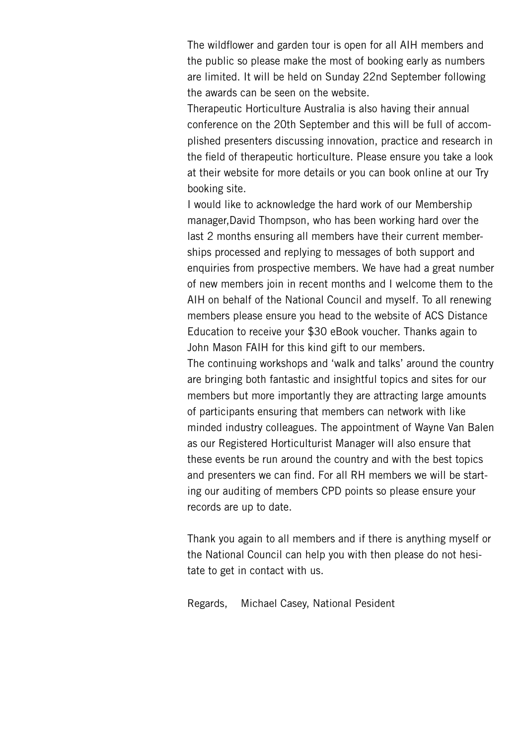The wildflower and garden tour is open for all AIH members and the public so please make the most of booking early as numbers are limited. It will be held on Sunday 22nd September following the awards can be seen on the website.

Therapeutic Horticulture Australia is also having their annual conference on the 20th September and this will be full of accomplished presenters discussing innovation, practice and research in the field of therapeutic horticulture. Please ensure you take a look at their website for more details or you can book online at our Try booking site.

I would like to acknowledge the hard work of our Membership manager,David Thompson, who has been working hard over the last 2 months ensuring all members have their current memberships processed and replying to messages of both support and enquiries from prospective members. We have had a great number of new members join in recent months and I welcome them to the AIH on behalf of the National Council and myself. To all renewing members please ensure you head to the website of ACS Distance Education to receive your \$30 eBook voucher. Thanks again to John Mason FAIH for this kind gift to our members.

The continuing workshops and 'walk and talks' around the country are bringing both fantastic and insightful topics and sites for our members but more importantly they are attracting large amounts of participants ensuring that members can network with like minded industry colleagues. The appointment of Wayne Van Balen as our Registered Horticulturist Manager will also ensure that these events be run around the country and with the best topics and presenters we can find. For all RH members we will be starting our auditing of members CPD points so please ensure your records are up to date.

Thank you again to all members and if there is anything myself or the National Council can help you with then please do not hesitate to get in contact with us.

Regards, Michael Casey, National Pesident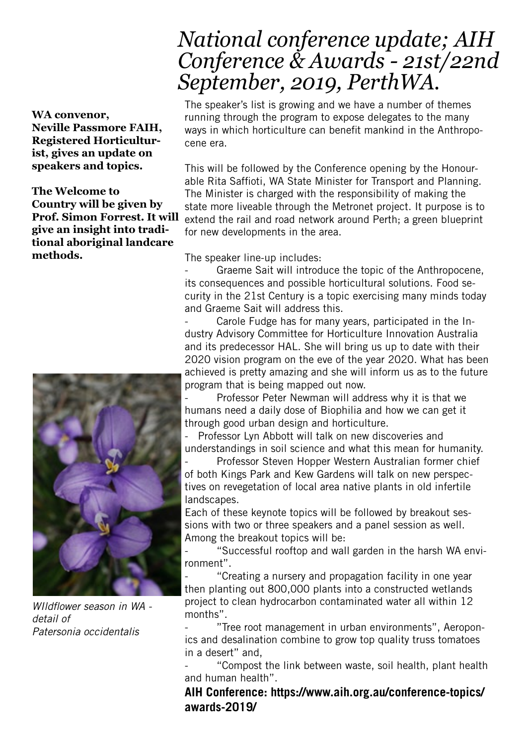## **WA convenor, Neville Passmore FAIH, Registered Horticulturist, gives an update on speakers and topics.**

**The Welcome to Country will be given by Prof. Simon Forrest. It will give an insight into traditional aboriginal landcare methods.**



*WIldflower season in WA detail of Patersonia occidentalis*

# *National conference update; AIH Conference & Awards - 21st/22nd September, 2019, PerthWA.*

The speaker's list is growing and we have a number of themes running through the program to expose delegates to the many ways in which horticulture can benefit mankind in the Anthropocene era.

This will be followed by the Conference opening by the Honourable Rita Saffioti, WA State Minister for Transport and Planning. The Minister is charged with the responsibility of making the state more liveable through the Metronet project. It purpose is to extend the rail and road network around Perth; a green blueprint for new developments in the area.

The speaker line-up includes:

Graeme Sait will introduce the topic of the Anthropocene, its consequences and possible horticultural solutions. Food security in the 21st Century is a topic exercising many minds today and Graeme Sait will address this.

Carole Fudge has for many years, participated in the Industry Advisory Committee for Horticulture Innovation Australia and its predecessor HAL. She will bring us up to date with their 2020 vision program on the eve of the year 2020. What has been achieved is pretty amazing and she will inform us as to the future program that is being mapped out now.

Professor Peter Newman will address why it is that we humans need a daily dose of Biophilia and how we can get it through good urban design and horticulture.

Professor Lyn Abbott will talk on new discoveries and understandings in soil science and what this mean for humanity.

Professor Steven Hopper Western Australian former chief of both Kings Park and Kew Gardens will talk on new perspectives on revegetation of local area native plants in old infertile landscapes.

Each of these keynote topics will be followed by breakout sessions with two or three speakers and a panel session as well. Among the breakout topics will be:

"Successful rooftop and wall garden in the harsh WA environment".

"Creating a nursery and propagation facility in one year then planting out 800,000 plants into a constructed wetlands project to clean hydrocarbon contaminated water all within 12 months".

"Tree root management in urban environments", Aeroponics and desalination combine to grow top quality truss tomatoes in a desert" and,

"Compost the link between waste, soil health, plant health and human health".

**AIH Conference: https://www.aih.org.au/conference-topics/ awards-2019/**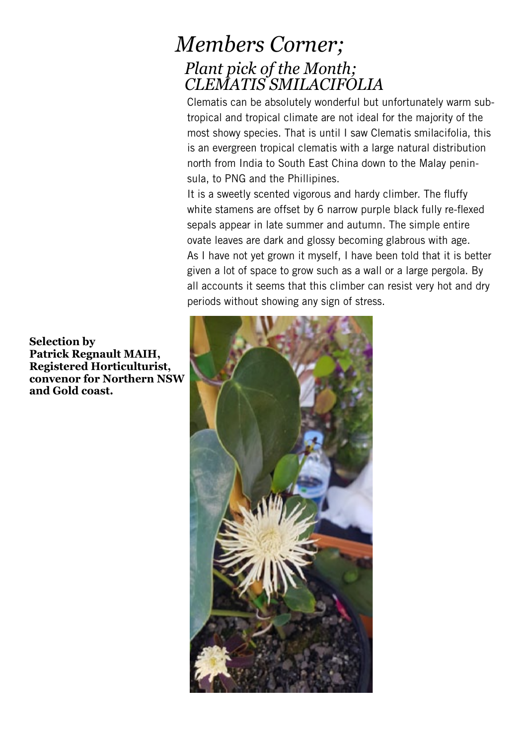## *Members Corner; Plant pick of the Month; CLEMATIS SMILACIFOLIA*

Clematis can be absolutely wonderful but unfortunately warm subtropical and tropical climate are not ideal for the majority of the most showy species. That is until I saw Clematis smilacifolia, this is an evergreen tropical clematis with a large natural distribution north from India to South East China down to the Malay peninsula, to PNG and the Phillipines.

It is a sweetly scented vigorous and hardy climber. The fluffy white stamens are offset by 6 narrow purple black fully re-flexed sepals appear in late summer and autumn. The simple entire ovate leaves are dark and glossy becoming glabrous with age. As I have not yet grown it myself, I have been told that it is better given a lot of space to grow such as a wall or a large pergola. By all accounts it seems that this climber can resist very hot and dry periods without showing any sign of stress.



**Selection by Patrick Regnault MAIH, Registered Horticulturist, convenor for Northern NSW and Gold coast.**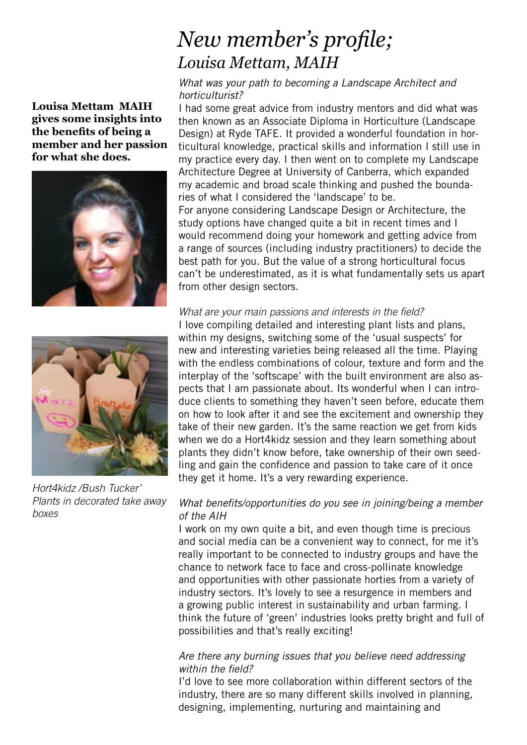# *New member's profile; Louisa Mettam, MAIH*

**Louisa Mettam MAIH gives some insights into the benefits of being a member and her passion for what she does.** 





*Hort4kidz /Bush Tucker' Plants in decorated take away boxes*

#### *What was your path to becoming a Landscape Architect and horticulturist?*

I had some great advice from industry mentors and did what was then known as an Associate Diploma in Horticulture (Landscape Design) at Ryde TAFE. It provided a wonderful foundation in horticultural knowledge, practical skills and information I still use in my practice every day. I then went on to complete my Landscape Architecture Degree at University of Canberra, which expanded my academic and broad scale thinking and pushed the boundaries of what I considered the 'landscape' to be.

For anyone considering Landscape Design or Architecture, the study options have changed quite a bit in recent times and I would recommend doing your homework and getting advice from a range of sources (including industry practitioners) to decide the best path for you. But the value of a strong horticultural focus can't be underestimated, as it is what fundamentally sets us apart from other design sectors.

#### *What are your main passions and interests in the field?*

I love compiling detailed and interesting plant lists and plans, within my designs, switching some of the 'usual suspects' for new and interesting varieties being released all the time. Playing with the endless combinations of colour, texture and form and the interplay of the 'softscape' with the built environment are also aspects that I am passionate about. Its wonderful when I can introduce clients to something they haven't seen before, educate them on how to look after it and see the excitement and ownership they take of their new garden. It's the same reaction we get from kids when we do a Hort4kidz session and they learn something about plants they didn't know before, take ownership of their own seedling and gain the confidence and passion to take care of it once they get it home. It's a very rewarding experience.

## *What benefits/opportunities do you see in joining/being a member of the AIH*

I work on my own quite a bit, and even though time is precious and social media can be a convenient way to connect, for me it's really important to be connected to industry groups and have the chance to network face to face and cross-pollinate knowledge and opportunities with other passionate horties from a variety of industry sectors. It's lovely to see a resurgence in members and a growing public interest in sustainability and urban farming. I think the future of 'green' industries looks pretty bright and full of possibilities and that's really exciting!

#### *Are there any burning issues that you believe need addressing within the field?*

I'd love to see more collaboration within different sectors of the industry, there are so many different skills involved in planning, designing, implementing, nurturing and maintaining and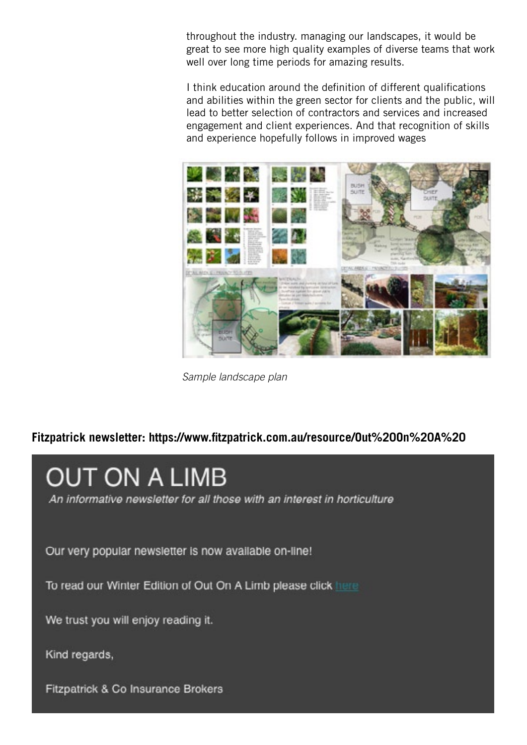throughout the industry. managing our landscapes, it would be great to see more high quality examples of diverse teams that work well over long time periods for amazing results.

I think education around the definition of different qualifications and abilities within the green sector for clients and the public, will lead to better selection of contractors and services and increased engagement and client experiences. And that recognition of skills and experience hopefully follows in improved wages



*Sample landscape plan*

## **Fitzpatrick newsletter: https://www.fitzpatrick.com.au/resource/Out%20On%20A%20**

# **OUT ON A LIMB**

An informative newsletter for all those with an interest in horticulture

Our very popular newsletter is now available on-line!

To read our Winter Edition of Out On A Limb please click here

We trust you will enjoy reading it.

Kind regards,

Fitzpatrick & Co Insurance Brokers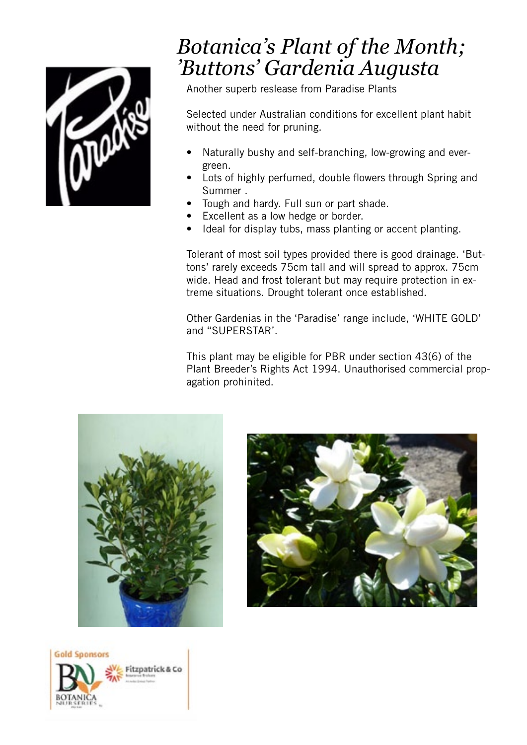

# *Botanica's Plant of the Month; 'Buttons' Gardenia Augusta*

Another superb reslease from Paradise Plants

Selected under Australian conditions for excellent plant habit without the need for pruning.

- Naturally bushy and self-branching, low-growing and evergreen.
- Lots of highly perfumed, double flowers through Spring and Summer .
- Tough and hardy. Full sun or part shade.
- Excellent as a low hedge or border.
- Ideal for display tubs, mass planting or accent planting.

Tolerant of most soil types provided there is good drainage. 'Buttons' rarely exceeds 75cm tall and will spread to approx. 75cm wide. Head and frost tolerant but may require protection in extreme situations. Drought tolerant once established.

Other Gardenias in the 'Paradise' range include, 'WHITE GOLD' and ''SUPERSTAR'.

This plant may be eligible for PBR under section 43(6) of the Plant Breeder's Rights Act 1994. Unauthorised commercial propagation prohinited.





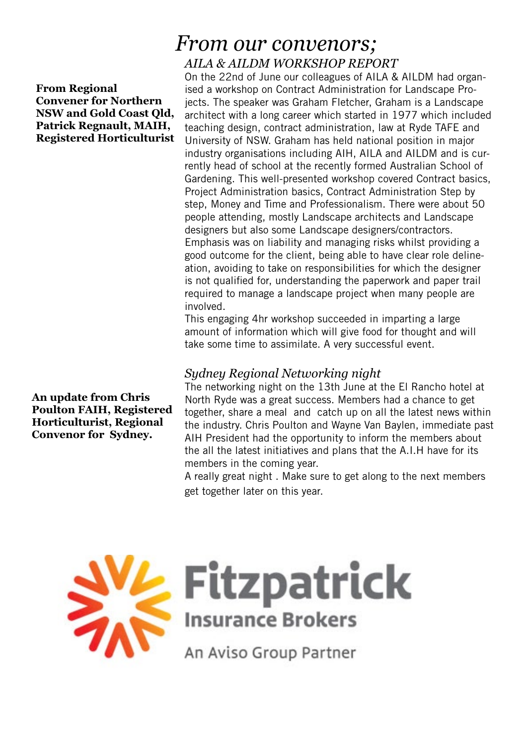#### **From Regional Convener for Northern NSW and Gold Coast Qld, Patrick Regnault, MAIH, Registered Horticulturist**

**An update from Chris Poulton FAIH, Registered Horticulturist, Regional Convenor for Sydney.** 

## *From our convenors; AILA & AILDM WORKSHOP REPORT*

On the 22nd of June our colleagues of AILA & AILDM had organised a workshop on Contract Administration for Landscape Projects. The speaker was Graham Fletcher, Graham is a Landscape architect with a long career which started in 1977 which included teaching design, contract administration, law at Ryde TAFE and University of NSW. Graham has held national position in major industry organisations including AIH, AILA and AILDM and is currently head of school at the recently formed Australian School of Gardening. This well-presented workshop covered Contract basics, Project Administration basics, Contract Administration Step by step, Money and Time and Professionalism. There were about 50 people attending, mostly Landscape architects and Landscape designers but also some Landscape designers/contractors. Emphasis was on liability and managing risks whilst providing a good outcome for the client, being able to have clear role delineation, avoiding to take on responsibilities for which the designer is not qualified for, understanding the paperwork and paper trail required to manage a landscape project when many people are involved.

This engaging 4hr workshop succeeded in imparting a large amount of information which will give food for thought and will take some time to assimilate. A very successful event.

## *Sydney Regional Networking night*

The networking night on the 13th June at the El Rancho hotel at North Ryde was a great success. Members had a chance to get together, share a meal and catch up on all the latest news within the industry. Chris Poulton and Wayne Van Baylen, immediate past AIH President had the opportunity to inform the members about the all the latest initiatives and plans that the A.I.H have for its members in the coming year.

A really great night . Make sure to get along to the next members get together later on this year.



 $\sum_{n=1}^{N}$ Fitzpatrick

An Aviso Group Partner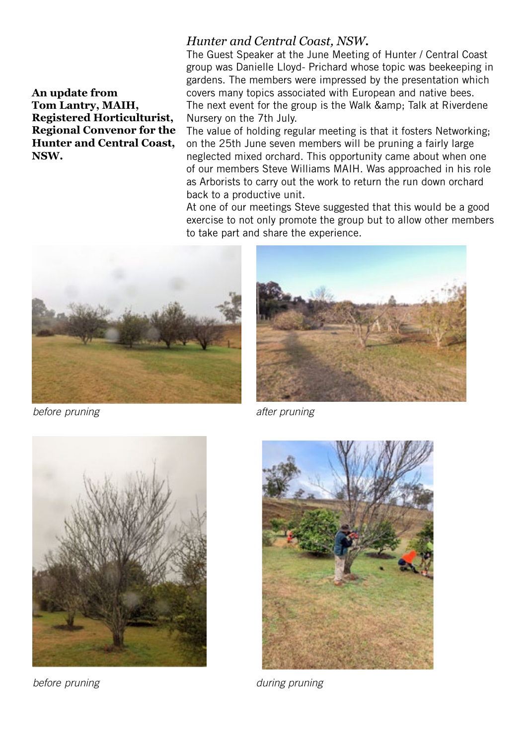**An update from Tom Lantry, MAIH, Registered Horticulturist, Regional Convenor for the Hunter and Central Coast, NSW.**

## *Hunter and Central Coast, NSW***.**

The Guest Speaker at the June Meeting of Hunter / Central Coast group was Danielle Lloyd- Prichard whose topic was beekeeping in gardens. The members were impressed by the presentation which covers many topics associated with European and native bees. The next event for the group is the Walk & amp; Talk at Riverdene Nursery on the 7th July.

The value of holding regular meeting is that it fosters Networking; on the 25th June seven members will be pruning a fairly large neglected mixed orchard. This opportunity came about when one of our members Steve Williams MAIH. Was approached in his role as Arborists to carry out the work to return the run down orchard back to a productive unit.

At one of our meetings Steve suggested that this would be a good exercise to not only promote the group but to allow other members to take part and share the experience.



**before pruning after pruning** 







**before pruning and a set of the property of the during pruning**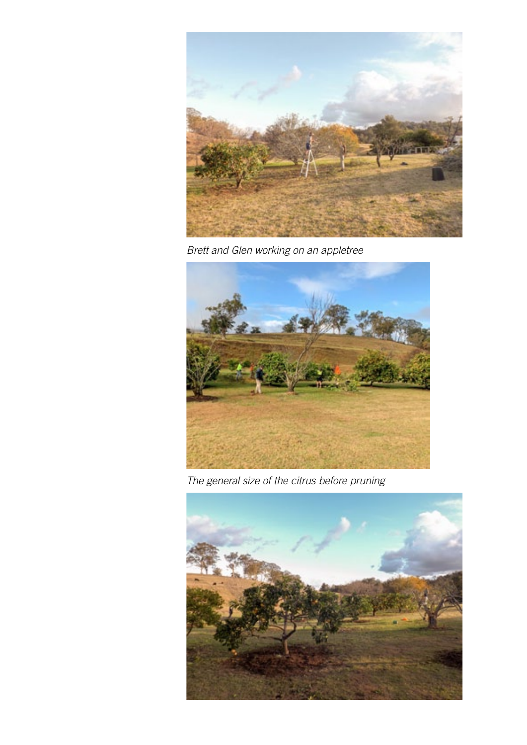

*Brett and Glen working on an appletree*



*The general size of the citrus before pruning*

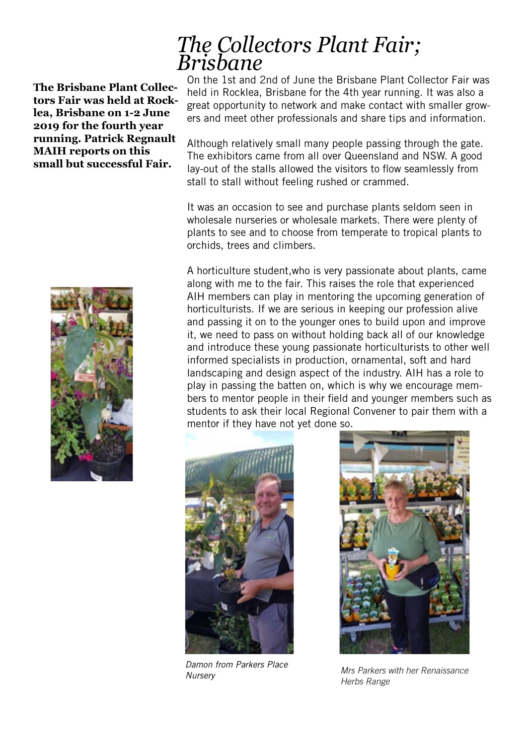## **The Brisbane Plant Collectors Fair was held at Rocklea, Brisbane on 1-2 June 2019 for the fourth year running. Patrick Regnault MAIH reports on this small but successful Fair.**



# *The Collectors Plant Fair; Brisbane*

On the 1st and 2nd of June the Brisbane Plant Collector Fair was held in Rocklea, Brisbane for the 4th year running. It was also a great opportunity to network and make contact with smaller growers and meet other professionals and share tips and information.

Although relatively small many people passing through the gate. The exhibitors came from all over Queensland and NSW. A good lay-out of the stalls allowed the visitors to flow seamlessly from stall to stall without feeling rushed or crammed.

It was an occasion to see and purchase plants seldom seen in wholesale nurseries or wholesale markets. There were plenty of plants to see and to choose from temperate to tropical plants to orchids, trees and climbers.

A horticulture student,who is very passionate about plants, came along with me to the fair. This raises the role that experienced AIH members can play in mentoring the upcoming generation of horticulturists. If we are serious in keeping our profession alive and passing it on to the younger ones to build upon and improve it, we need to pass on without holding back all of our knowledge and introduce these young passionate horticulturists to other well informed specialists in production, ornamental, soft and hard landscaping and design aspect of the industry. AIH has a role to play in passing the batten on, which is why we encourage members to mentor people in their field and younger members such as students to ask their local Regional Convener to pair them with a mentor if they have not yet done so.



*Damon from Parkers Place* 



*Nursery Mrs Parkers with her Renaissance Herbs Range*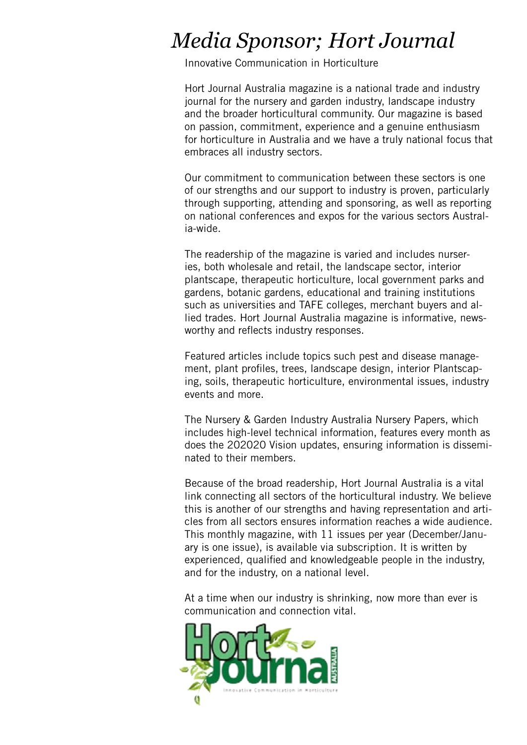# *Media Sponsor; Hort Journal*

Innovative Communication in Horticulture

Hort Journal Australia magazine is a national trade and industry journal for the nursery and garden industry, landscape industry and the broader horticultural community. Our magazine is based on passion, commitment, experience and a genuine enthusiasm for horticulture in Australia and we have a truly national focus that embraces all industry sectors.

Our commitment to communication between these sectors is one of our strengths and our support to industry is proven, particularly through supporting, attending and sponsoring, as well as reporting on national conferences and expos for the various sectors Australia-wide.

The readership of the magazine is varied and includes nurseries, both wholesale and retail, the landscape sector, interior plantscape, therapeutic horticulture, local government parks and gardens, botanic gardens, educational and training institutions such as universities and TAFE colleges, merchant buyers and allied trades. Hort Journal Australia magazine is informative, newsworthy and reflects industry responses.

Featured articles include topics such pest and disease management, plant profiles, trees, landscape design, interior Plantscaping, soils, therapeutic horticulture, environmental issues, industry events and more.

The Nursery & Garden Industry Australia Nursery Papers, which includes high-level technical information, features every month as does the 202020 Vision updates, ensuring information is disseminated to their members.

Because of the broad readership, Hort Journal Australia is a vital link connecting all sectors of the horticultural industry. We believe this is another of our strengths and having representation and articles from all sectors ensures information reaches a wide audience. This monthly magazine, with 11 issues per year (December/January is one issue), is available via subscription. It is written by experienced, qualified and knowledgeable people in the industry, and for the industry, on a national level.

At a time when our industry is shrinking, now more than ever is communication and connection vital.